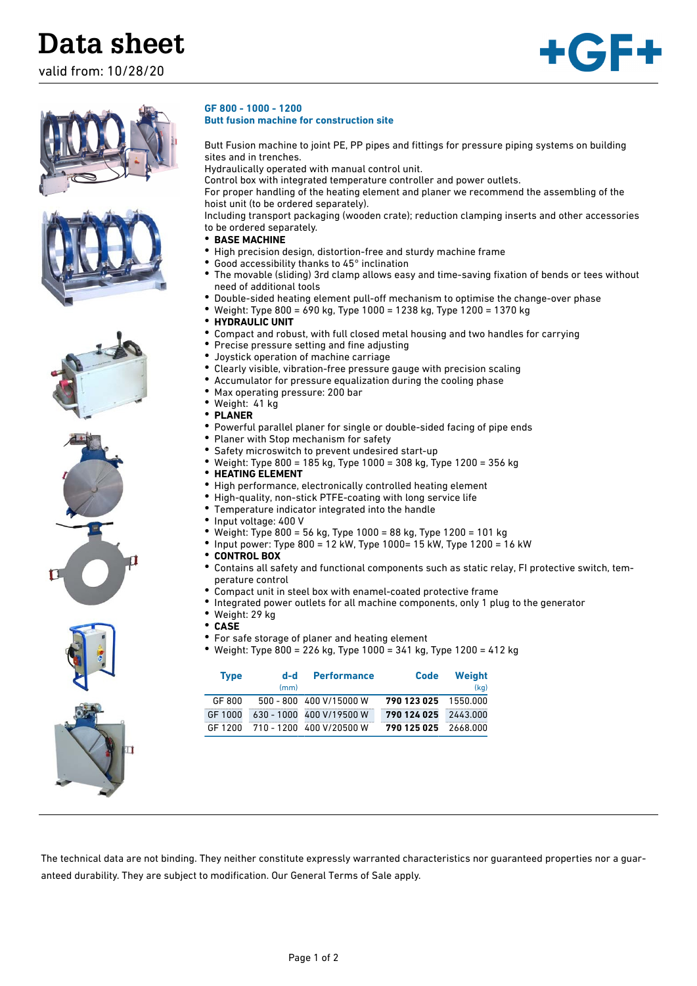## **Data sheet**

valid from: 10/28/20

















- **BASE MACHINE** • High precision design, distortion-free and sturdy machine frame
	- Good accessibility thanks to 45° inclination
	- The movable (sliding) 3rd clamp allows easy and time-saving fixation of bends or tees without need of additional tools

Butt Fusion machine to joint PE, PP pipes and fittings for pressure piping systems on building

For proper handling of the heating element and planer we recommend the assembling of the

Including transport packaging (wooden crate); reduction clamping inserts and other accessories

- Double-sided heating element pull-off mechanism to optimise the change-over phase
- Weight: Type 800 = 690 kg, Type 1000 = 1238 kg, Type 1200 = 1370 kg

Control box with integrated temperature controller and power outlets.

• **HYDRAULIC UNIT**

**GF 800 - 1000 - 1200**

sites and in trenches.

to be ordered separately.

**Butt fusion machine for construction site**

hoist unit (to be ordered separately).

Hydraulically operated with manual control unit.

- Compact and robust, with full closed metal housing and two handles for carrying
- Precise pressure setting and fine adjusting
	- Joystick operation of machine carriage
	- Clearly visible, vibration-free pressure gauge with precision scaling
- Accumulator for pressure equalization during the cooling phase
- Max operating pressure: 200 bar
- Weight: 41 kg
- **PLANER**
- Powerful parallel planer for single or double-sided facing of pipe ends
- Planer with Stop mechanism for safety
- Safety microswitch to prevent undesired start-up
- Weight: Type 800 = 185 kg, Type 1000 = 308 kg, Type 1200 = 356 kg
- **HEATING ELEMENT**
- High performance, electronically controlled heating element
- High-quality, non-stick PTFE-coating with long service life
- Temperature indicator integrated into the handle
- Input voltage: 400 V
- Weight: Type 800 = 56 kg, Type 1000 = 88 kg, Type 1200 = 101 kg
- Input power: Type 800 = 12 kW, Type 1000= 15 kW, Type 1200 = 16 kW
- **CONTROL BOX**
	- Contains all safety and functional components such as static relay, FI protective switch, temperature control
	- Compact unit in steel box with enamel-coated protective frame
	- Integrated power outlets for all machine components, only 1 plug to the generator
- Weight: 29 kg
- **CASE**
- For safe storage of planer and heating element
- Weight: Type 800 = 226 kg, Type 1000 = 341 kg, Type 1200 = 412 kg

| <b>Type</b> | d-d<br>(mm) | <b>Performance</b>                            | <b>Code</b>          | Weight<br>(kg) |
|-------------|-------------|-----------------------------------------------|----------------------|----------------|
| GF 800      |             | $500 - 800 - 400 \text{ V} / 15000 \text{ W}$ | 790 123 025 1550.000 |                |
| GF 1000     |             | 630 - 1000 400 V/19500 W                      | 790 124 025 2443.000 |                |
|             |             | GF 1200 710 - 1200 400 V/20500 W              | 790 125 025 2668,000 |                |

The technical data are not binding. They neither constitute expressly warranted characteristics nor guaranteed properties nor a guaranteed durability. They are subject to modification. Our General Terms of Sale apply.